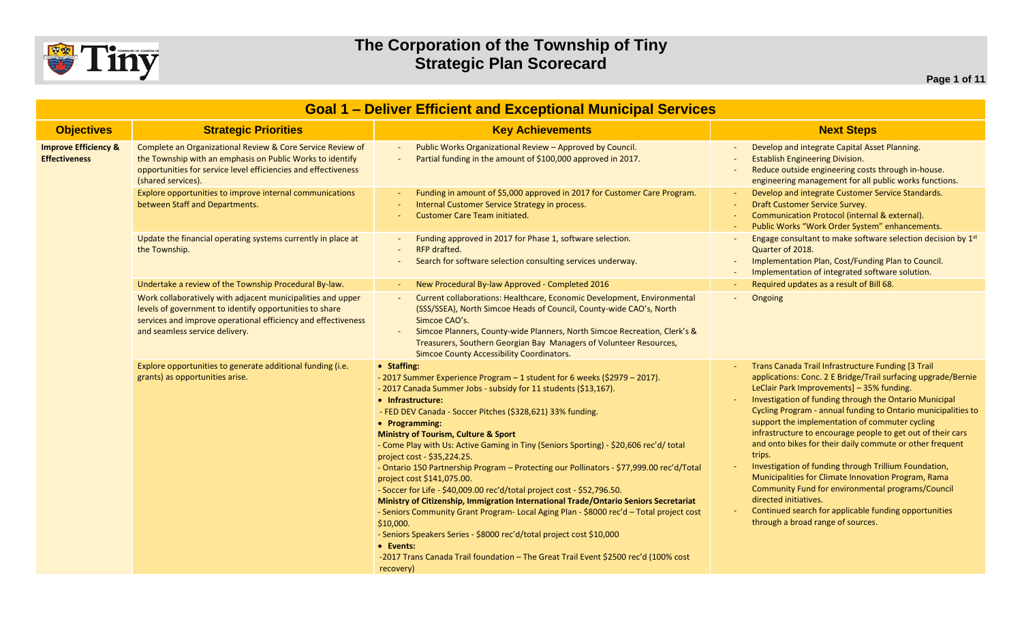

| <b>Goal 1 - Deliver Efficient and Exceptional Municipal Services</b> |                                                                                                                                                                                                                           |                                                                                                                                                                                                                                                                                                                                                                                                                                                                                                                                                                                                                                                                                                                                                                                                                                                                                                                                                                                                                                           |                                                                                                                                                                                                                                                                                                                                                                                                                                                                                                                                                                                                                                                                                                                                                                                |  |
|----------------------------------------------------------------------|---------------------------------------------------------------------------------------------------------------------------------------------------------------------------------------------------------------------------|-------------------------------------------------------------------------------------------------------------------------------------------------------------------------------------------------------------------------------------------------------------------------------------------------------------------------------------------------------------------------------------------------------------------------------------------------------------------------------------------------------------------------------------------------------------------------------------------------------------------------------------------------------------------------------------------------------------------------------------------------------------------------------------------------------------------------------------------------------------------------------------------------------------------------------------------------------------------------------------------------------------------------------------------|--------------------------------------------------------------------------------------------------------------------------------------------------------------------------------------------------------------------------------------------------------------------------------------------------------------------------------------------------------------------------------------------------------------------------------------------------------------------------------------------------------------------------------------------------------------------------------------------------------------------------------------------------------------------------------------------------------------------------------------------------------------------------------|--|
| <b>Objectives</b>                                                    | <b>Strategic Priorities</b>                                                                                                                                                                                               | <b>Key Achievements</b>                                                                                                                                                                                                                                                                                                                                                                                                                                                                                                                                                                                                                                                                                                                                                                                                                                                                                                                                                                                                                   | <b>Next Steps</b>                                                                                                                                                                                                                                                                                                                                                                                                                                                                                                                                                                                                                                                                                                                                                              |  |
| <b>Improve Efficiency &amp;</b><br><b>Effectiveness</b>              | Complete an Organizational Review & Core Service Review of<br>the Township with an emphasis on Public Works to identify<br>opportunities for service level efficiencies and effectiveness<br>(shared services).           | Public Works Organizational Review - Approved by Council.<br>Partial funding in the amount of \$100,000 approved in 2017.                                                                                                                                                                                                                                                                                                                                                                                                                                                                                                                                                                                                                                                                                                                                                                                                                                                                                                                 | Develop and integrate Capital Asset Planning.<br><b>Establish Engineering Division.</b><br>Reduce outside engineering costs through in-house.<br>engineering management for all public works functions.                                                                                                                                                                                                                                                                                                                                                                                                                                                                                                                                                                        |  |
|                                                                      | Explore opportunities to improve internal communications<br>between Staff and Departments.                                                                                                                                | Funding in amount of \$5,000 approved in 2017 for Customer Care Program.<br>Internal Customer Service Strategy in process.<br><b>Customer Care Team initiated.</b>                                                                                                                                                                                                                                                                                                                                                                                                                                                                                                                                                                                                                                                                                                                                                                                                                                                                        | Develop and integrate Customer Service Standards.<br>Draft Customer Service Survey.<br>Communication Protocol (internal & external).<br>Public Works "Work Order System" enhancements.                                                                                                                                                                                                                                                                                                                                                                                                                                                                                                                                                                                         |  |
|                                                                      | Update the financial operating systems currently in place at<br>the Township.                                                                                                                                             | Funding approved in 2017 for Phase 1, software selection.<br><b>RFP</b> drafted.<br>Search for software selection consulting services underway.                                                                                                                                                                                                                                                                                                                                                                                                                                                                                                                                                                                                                                                                                                                                                                                                                                                                                           | Engage consultant to make software selection decision by 1st<br>Quarter of 2018.<br>Implementation Plan, Cost/Funding Plan to Council.<br>Implementation of integrated software solution.                                                                                                                                                                                                                                                                                                                                                                                                                                                                                                                                                                                      |  |
|                                                                      | Undertake a review of the Township Procedural By-law.                                                                                                                                                                     | New Procedural By-law Approved - Completed 2016                                                                                                                                                                                                                                                                                                                                                                                                                                                                                                                                                                                                                                                                                                                                                                                                                                                                                                                                                                                           | Required updates as a result of Bill 68.                                                                                                                                                                                                                                                                                                                                                                                                                                                                                                                                                                                                                                                                                                                                       |  |
|                                                                      | Work collaboratively with adjacent municipalities and upper<br>levels of government to identify opportunities to share<br>services and improve operational efficiency and effectiveness<br>and seamless service delivery. | Current collaborations: Healthcare, Economic Development, Environmental<br>(SSS/SSEA), North Simcoe Heads of Council, County-wide CAO's, North<br>Simcoe CAO's.<br>Simcoe Planners, County-wide Planners, North Simcoe Recreation, Clerk's &<br>Treasurers, Southern Georgian Bay Managers of Volunteer Resources,<br><b>Simcoe County Accessibility Coordinators.</b>                                                                                                                                                                                                                                                                                                                                                                                                                                                                                                                                                                                                                                                                    | Ongoing                                                                                                                                                                                                                                                                                                                                                                                                                                                                                                                                                                                                                                                                                                                                                                        |  |
|                                                                      | Explore opportunities to generate additional funding (i.e.<br>grants) as opportunities arise.                                                                                                                             | • Staffing:<br>- 2017 Summer Experience Program - 1 student for 6 weeks (\$2979 - 2017).<br>- 2017 Canada Summer Jobs - subsidy for 11 students (\$13,167).<br>• Infrastructure:<br>- FED DEV Canada - Soccer Pitches (\$328,621) 33% funding.<br>• Programming:<br><b>Ministry of Tourism, Culture &amp; Sport</b><br>- Come Play with Us: Active Gaming in Tiny (Seniors Sporting) - \$20,606 rec'd/ total<br>project cost - \$35,224.25.<br>- Ontario 150 Partnership Program - Protecting our Pollinators - \$77,999.00 rec'd/Total<br>project cost \$141,075.00.<br>- Soccer for Life - \$40,009.00 rec'd/total project cost - \$52,796.50.<br>Ministry of Citizenship, Immigration International Trade/Ontario Seniors Secretariat<br>- Seniors Community Grant Program- Local Aging Plan - \$8000 rec'd - Total project cost<br>\$10,000.<br>- Seniors Speakers Series - \$8000 rec'd/total project cost \$10,000<br>• Events:<br>-2017 Trans Canada Trail foundation - The Great Trail Event \$2500 rec'd (100% cost<br>recovery) | Trans Canada Trail Infrastructure Funding [3 Trail<br>applications: Conc. 2 E Bridge/Trail surfacing upgrade/Bernie<br>LeClair Park Improvements] - 35% funding.<br>Investigation of funding through the Ontario Municipal<br>Cycling Program - annual funding to Ontario municipalities to<br>support the implementation of commuter cycling<br>infrastructure to encourage people to get out of their cars<br>and onto bikes for their daily commute or other frequent<br>trips.<br>Investigation of funding through Trillium Foundation,<br>Municipalities for Climate Innovation Program, Rama<br>Community Fund for environmental programs/Council<br>directed initiatives.<br>Continued search for applicable funding opportunities<br>through a broad range of sources. |  |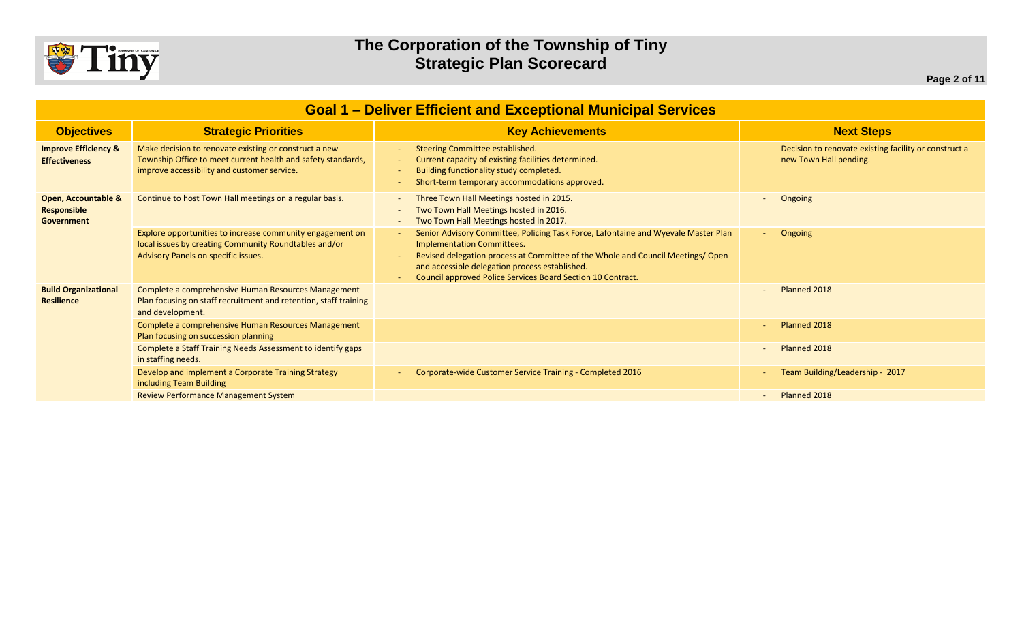

| <b>Goal 1 - Deliver Efficient and Exceptional Municipal Services</b> |                                                                                                                                                                      |                                                                                                                                                                                                                                                                                                                            |                                                                                 |  |
|----------------------------------------------------------------------|----------------------------------------------------------------------------------------------------------------------------------------------------------------------|----------------------------------------------------------------------------------------------------------------------------------------------------------------------------------------------------------------------------------------------------------------------------------------------------------------------------|---------------------------------------------------------------------------------|--|
| <b>Objectives</b>                                                    | <b>Strategic Priorities</b>                                                                                                                                          | <b>Key Achievements</b>                                                                                                                                                                                                                                                                                                    | <b>Next Steps</b>                                                               |  |
| <b>Improve Efficiency &amp;</b><br><b>Effectiveness</b>              | Make decision to renovate existing or construct a new<br>Township Office to meet current health and safety standards,<br>improve accessibility and customer service. | Steering Committee established.<br>Current capacity of existing facilities determined.<br>Building functionality study completed.<br>Short-term temporary accommodations approved.                                                                                                                                         | Decision to renovate existing facility or construct a<br>new Town Hall pending. |  |
| Open, Accountable &<br><b>Responsible</b><br>Government              | Continue to host Town Hall meetings on a regular basis.                                                                                                              | Three Town Hall Meetings hosted in 2015.<br>Two Town Hall Meetings hosted in 2016.<br>Two Town Hall Meetings hosted in 2017.                                                                                                                                                                                               | Ongoing                                                                         |  |
|                                                                      | Explore opportunities to increase community engagement on<br>local issues by creating Community Roundtables and/or<br>Advisory Panels on specific issues.            | Senior Advisory Committee, Policing Task Force, Lafontaine and Wyevale Master Plan<br><b>Implementation Committees.</b><br>Revised delegation process at Committee of the Whole and Council Meetings/Open<br>and accessible delegation process established.<br>Council approved Police Services Board Section 10 Contract. | Ongoing                                                                         |  |
| <b>Build Organizational</b><br><b>Resilience</b>                     | Complete a comprehensive Human Resources Management<br>Plan focusing on staff recruitment and retention, staff training<br>and development.                          |                                                                                                                                                                                                                                                                                                                            | Planned 2018                                                                    |  |
|                                                                      | Complete a comprehensive Human Resources Management<br>Plan focusing on succession planning                                                                          |                                                                                                                                                                                                                                                                                                                            | Planned 2018                                                                    |  |
|                                                                      | Complete a Staff Training Needs Assessment to identify gaps<br>in staffing needs.                                                                                    |                                                                                                                                                                                                                                                                                                                            | Planned 2018                                                                    |  |
|                                                                      | Develop and implement a Corporate Training Strategy<br>including Team Building                                                                                       | Corporate-wide Customer Service Training - Completed 2016                                                                                                                                                                                                                                                                  | Team Building/Leadership - 2017                                                 |  |
|                                                                      | <b>Review Performance Management System</b>                                                                                                                          |                                                                                                                                                                                                                                                                                                                            | Planned 2018                                                                    |  |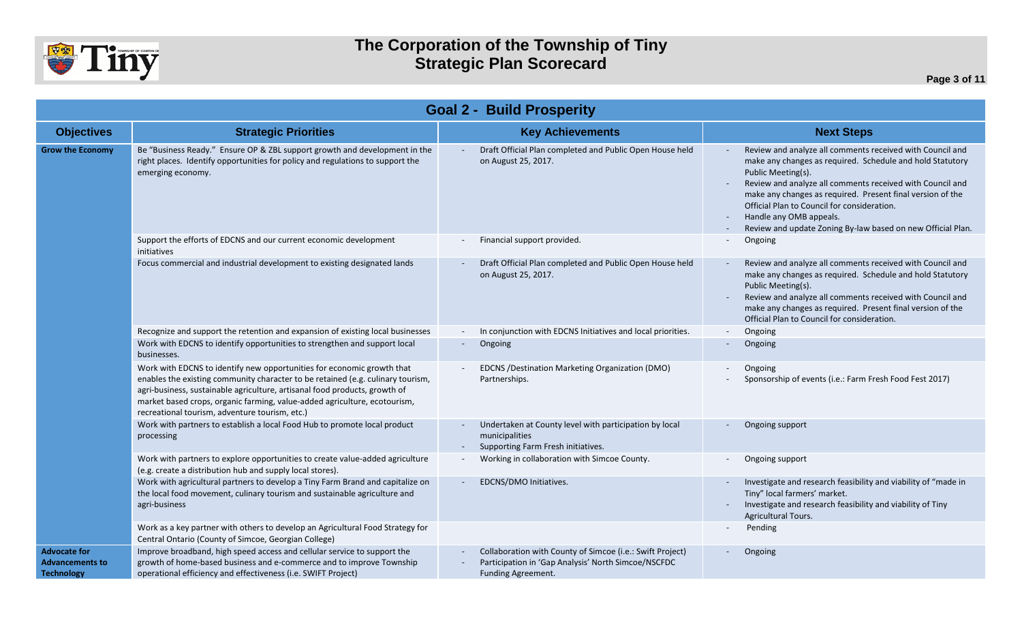

| <b>Goal 2 - Build Prosperity</b>                                   |                                                                                                                                                                                                                                                                                                                                                                        |                                                                                                                                        |                                                                                                                                                                                                                                                                                                                                                                                                                                              |  |  |
|--------------------------------------------------------------------|------------------------------------------------------------------------------------------------------------------------------------------------------------------------------------------------------------------------------------------------------------------------------------------------------------------------------------------------------------------------|----------------------------------------------------------------------------------------------------------------------------------------|----------------------------------------------------------------------------------------------------------------------------------------------------------------------------------------------------------------------------------------------------------------------------------------------------------------------------------------------------------------------------------------------------------------------------------------------|--|--|
| <b>Objectives</b>                                                  | <b>Strategic Priorities</b>                                                                                                                                                                                                                                                                                                                                            | <b>Key Achievements</b>                                                                                                                | <b>Next Steps</b>                                                                                                                                                                                                                                                                                                                                                                                                                            |  |  |
| <b>Grow the Economy</b>                                            | Be "Business Ready." Ensure OP & ZBL support growth and development in the<br>right places. Identify opportunities for policy and regulations to support the<br>emerging economy.                                                                                                                                                                                      | Draft Official Plan completed and Public Open House held<br>on August 25, 2017.                                                        | Review and analyze all comments received with Council and<br>make any changes as required. Schedule and hold Statutory<br>Public Meeting(s).<br>Review and analyze all comments received with Council and<br>make any changes as required. Present final version of the<br>Official Plan to Council for consideration.<br>Handle any OMB appeals.<br>$\overline{\phantom{a}}$<br>Review and update Zoning By-law based on new Official Plan. |  |  |
|                                                                    | Support the efforts of EDCNS and our current economic development<br>initiatives                                                                                                                                                                                                                                                                                       | Financial support provided.                                                                                                            | Ongoing<br>$\overline{\phantom{a}}$                                                                                                                                                                                                                                                                                                                                                                                                          |  |  |
|                                                                    | Focus commercial and industrial development to existing designated lands                                                                                                                                                                                                                                                                                               | Draft Official Plan completed and Public Open House held<br>on August 25, 2017.                                                        | Review and analyze all comments received with Council and<br>make any changes as required. Schedule and hold Statutory<br>Public Meeting(s).<br>Review and analyze all comments received with Council and<br>make any changes as required. Present final version of the<br>Official Plan to Council for consideration.                                                                                                                       |  |  |
|                                                                    | Recognize and support the retention and expansion of existing local businesses                                                                                                                                                                                                                                                                                         | In conjunction with EDCNS Initiatives and local priorities.                                                                            | Ongoing<br>$\sim$                                                                                                                                                                                                                                                                                                                                                                                                                            |  |  |
|                                                                    | Work with EDCNS to identify opportunities to strengthen and support local<br>businesses.                                                                                                                                                                                                                                                                               | Ongoing                                                                                                                                | Ongoing<br>$\overline{\phantom{a}}$                                                                                                                                                                                                                                                                                                                                                                                                          |  |  |
|                                                                    | Work with EDCNS to identify new opportunities for economic growth that<br>enables the existing community character to be retained (e.g. culinary tourism,<br>agri-business, sustainable agriculture, artisanal food products, growth of<br>market based crops, organic farming, value-added agriculture, ecotourism,<br>recreational tourism, adventure tourism, etc.) | EDCNS / Destination Marketing Organization (DMO)<br>Partnerships.                                                                      | Ongoing<br>Sponsorship of events (i.e.: Farm Fresh Food Fest 2017)                                                                                                                                                                                                                                                                                                                                                                           |  |  |
|                                                                    | Work with partners to establish a local Food Hub to promote local product<br>processing                                                                                                                                                                                                                                                                                | Undertaken at County level with participation by local<br>municipalities<br>Supporting Farm Fresh initiatives.                         | Ongoing support<br>$\overline{\phantom{a}}$                                                                                                                                                                                                                                                                                                                                                                                                  |  |  |
|                                                                    | Work with partners to explore opportunities to create value-added agriculture<br>(e.g. create a distribution hub and supply local stores).                                                                                                                                                                                                                             | Working in collaboration with Simcoe County.                                                                                           | Ongoing support                                                                                                                                                                                                                                                                                                                                                                                                                              |  |  |
|                                                                    | Work with agricultural partners to develop a Tiny Farm Brand and capitalize on<br>the local food movement, culinary tourism and sustainable agriculture and<br>agri-business                                                                                                                                                                                           | EDCNS/DMO Initiatives.                                                                                                                 | Investigate and research feasibility and viability of "made in<br>Tiny" local farmers' market.<br>Investigate and research feasibility and viability of Tiny<br>Agricultural Tours.                                                                                                                                                                                                                                                          |  |  |
|                                                                    | Work as a key partner with others to develop an Agricultural Food Strategy for<br>Central Ontario (County of Simcoe, Georgian College)                                                                                                                                                                                                                                 |                                                                                                                                        | Pending                                                                                                                                                                                                                                                                                                                                                                                                                                      |  |  |
| <b>Advocate for</b><br><b>Advancements to</b><br><b>Technology</b> | Improve broadband, high speed access and cellular service to support the<br>growth of home-based business and e-commerce and to improve Township<br>operational efficiency and effectiveness (i.e. SWIFT Project)                                                                                                                                                      | Collaboration with County of Simcoe (i.e.: Swift Project)<br>Participation in 'Gap Analysis' North Simcoe/NSCFDC<br>Funding Agreement. | Ongoing<br>$\overline{\phantom{a}}$                                                                                                                                                                                                                                                                                                                                                                                                          |  |  |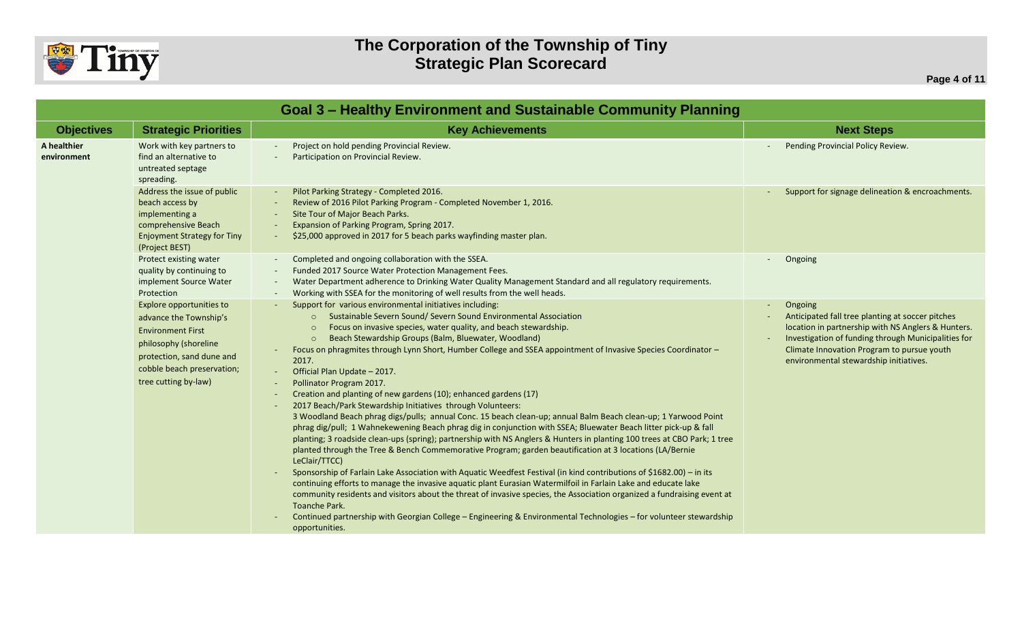

| <b>Goal 3 - Healthy Environment and Sustainable Community Planning</b> |                                                                                                                                                                                            |                                                                                                                                                                                                                                                                                                                                                                                                                                                                                                                                                                                                                                                                                                                                                                                                                                                                                                                                                                                                                                                                                                                                                                                                                                                                                                                                                                                                                                                                                                                                                                                                                         |                                                                                                                                                                                                                                                                  |
|------------------------------------------------------------------------|--------------------------------------------------------------------------------------------------------------------------------------------------------------------------------------------|-------------------------------------------------------------------------------------------------------------------------------------------------------------------------------------------------------------------------------------------------------------------------------------------------------------------------------------------------------------------------------------------------------------------------------------------------------------------------------------------------------------------------------------------------------------------------------------------------------------------------------------------------------------------------------------------------------------------------------------------------------------------------------------------------------------------------------------------------------------------------------------------------------------------------------------------------------------------------------------------------------------------------------------------------------------------------------------------------------------------------------------------------------------------------------------------------------------------------------------------------------------------------------------------------------------------------------------------------------------------------------------------------------------------------------------------------------------------------------------------------------------------------------------------------------------------------------------------------------------------------|------------------------------------------------------------------------------------------------------------------------------------------------------------------------------------------------------------------------------------------------------------------|
| <b>Objectives</b>                                                      | <b>Strategic Priorities</b>                                                                                                                                                                | <b>Key Achievements</b>                                                                                                                                                                                                                                                                                                                                                                                                                                                                                                                                                                                                                                                                                                                                                                                                                                                                                                                                                                                                                                                                                                                                                                                                                                                                                                                                                                                                                                                                                                                                                                                                 | <b>Next Steps</b>                                                                                                                                                                                                                                                |
| A healthier<br>environment                                             | Work with key partners to<br>find an alternative to<br>untreated septage<br>spreading.                                                                                                     | Project on hold pending Provincial Review.<br>Participation on Provincial Review.                                                                                                                                                                                                                                                                                                                                                                                                                                                                                                                                                                                                                                                                                                                                                                                                                                                                                                                                                                                                                                                                                                                                                                                                                                                                                                                                                                                                                                                                                                                                       | Pending Provincial Policy Review.                                                                                                                                                                                                                                |
|                                                                        | Address the issue of public<br>beach access by<br>implementing a<br>comprehensive Beach<br><b>Enjoyment Strategy for Tiny</b><br>(Project BEST)                                            | Pilot Parking Strategy - Completed 2016.<br>Review of 2016 Pilot Parking Program - Completed November 1, 2016.<br>Site Tour of Major Beach Parks.<br>Expansion of Parking Program, Spring 2017.<br>\$25,000 approved in 2017 for 5 beach parks wayfinding master plan.                                                                                                                                                                                                                                                                                                                                                                                                                                                                                                                                                                                                                                                                                                                                                                                                                                                                                                                                                                                                                                                                                                                                                                                                                                                                                                                                                  | Support for signage delineation & encroachments.                                                                                                                                                                                                                 |
|                                                                        | Protect existing water<br>quality by continuing to<br>implement Source Water<br>Protection                                                                                                 | Completed and ongoing collaboration with the SSEA.<br>Funded 2017 Source Water Protection Management Fees.<br>Water Department adherence to Drinking Water Quality Management Standard and all regulatory requirements.<br>Working with SSEA for the monitoring of well results from the well heads.                                                                                                                                                                                                                                                                                                                                                                                                                                                                                                                                                                                                                                                                                                                                                                                                                                                                                                                                                                                                                                                                                                                                                                                                                                                                                                                    | Ongoing                                                                                                                                                                                                                                                          |
|                                                                        | Explore opportunities to<br>advance the Township's<br><b>Environment First</b><br>philosophy (shoreline<br>protection, sand dune and<br>cobble beach preservation;<br>tree cutting by-law) | Support for various environmental initiatives including:<br>Sustainable Severn Sound/ Severn Sound Environmental Association<br>Focus on invasive species, water quality, and beach stewardship.<br>Beach Stewardship Groups (Balm, Bluewater, Woodland)<br>$\circ$<br>Focus on phragmites through Lynn Short, Humber College and SSEA appointment of Invasive Species Coordinator -<br>2017.<br>Official Plan Update - 2017.<br>Pollinator Program 2017.<br>Creation and planting of new gardens (10); enhanced gardens (17)<br>2017 Beach/Park Stewardship Initiatives through Volunteers:<br>3 Woodland Beach phrag digs/pulls; annual Conc. 15 beach clean-up; annual Balm Beach clean-up; 1 Yarwood Point<br>phrag dig/pull; 1 Wahnekewening Beach phrag dig in conjunction with SSEA; Bluewater Beach litter pick-up & fall<br>planting; 3 roadside clean-ups (spring); partnership with NS Anglers & Hunters in planting 100 trees at CBO Park; 1 tree<br>planted through the Tree & Bench Commemorative Program; garden beautification at 3 locations (LA/Bernie<br>LeClair/TTCC)<br>Sponsorship of Farlain Lake Association with Aquatic Weedfest Festival (in kind contributions of \$1682.00) - in its<br>continuing efforts to manage the invasive aquatic plant Eurasian Watermilfoil in Farlain Lake and educate lake<br>community residents and visitors about the threat of invasive species, the Association organized a fundraising event at<br>Toanche Park.<br>Continued partnership with Georgian College - Engineering & Environmental Technologies - for volunteer stewardship<br>opportunities. | Ongoing<br>Anticipated fall tree planting at soccer pitches<br>location in partnership with NS Anglers & Hunters.<br>Investigation of funding through Municipalities for<br>Climate Innovation Program to pursue youth<br>environmental stewardship initiatives. |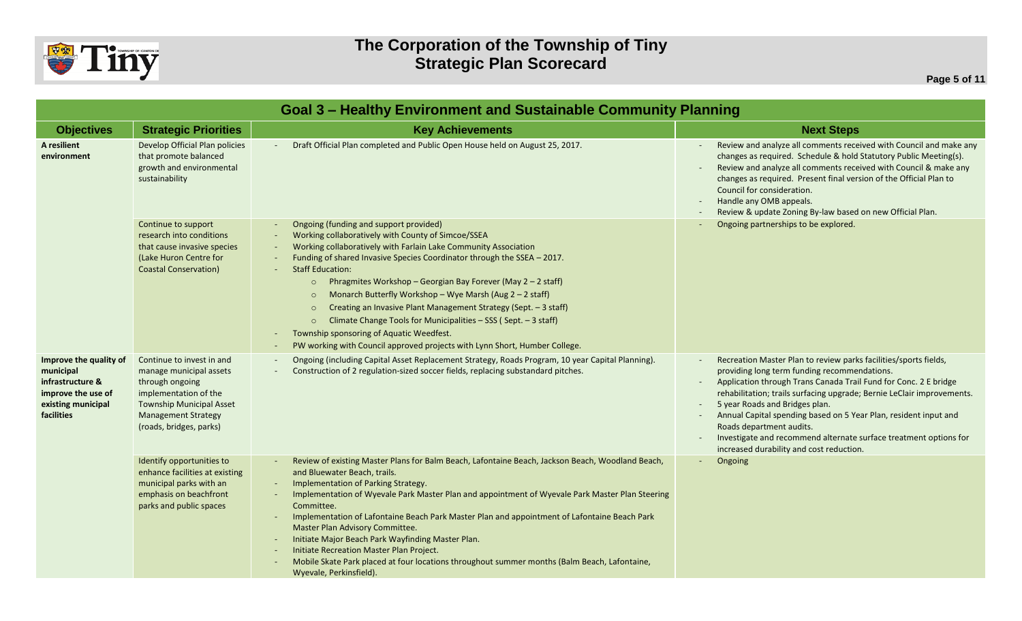

|                                                                                                                   | Goal 3 - Healthy Environment and Sustainable Community Planning                                                                                                                              |                                                                                                                                                                                                                                                                                                                                                                                                                                                                                                                                                                                                                                                                                              |                                                                                                                                                                                                                                                                                                                                                                                                                                                                                                                             |  |
|-------------------------------------------------------------------------------------------------------------------|----------------------------------------------------------------------------------------------------------------------------------------------------------------------------------------------|----------------------------------------------------------------------------------------------------------------------------------------------------------------------------------------------------------------------------------------------------------------------------------------------------------------------------------------------------------------------------------------------------------------------------------------------------------------------------------------------------------------------------------------------------------------------------------------------------------------------------------------------------------------------------------------------|-----------------------------------------------------------------------------------------------------------------------------------------------------------------------------------------------------------------------------------------------------------------------------------------------------------------------------------------------------------------------------------------------------------------------------------------------------------------------------------------------------------------------------|--|
| <b>Objectives</b>                                                                                                 | <b>Strategic Priorities</b>                                                                                                                                                                  | <b>Key Achievements</b>                                                                                                                                                                                                                                                                                                                                                                                                                                                                                                                                                                                                                                                                      | <b>Next Steps</b>                                                                                                                                                                                                                                                                                                                                                                                                                                                                                                           |  |
| A resilient<br>environment                                                                                        | Develop Official Plan policies<br>that promote balanced<br>growth and environmental<br>sustainability                                                                                        | Draft Official Plan completed and Public Open House held on August 25, 2017.                                                                                                                                                                                                                                                                                                                                                                                                                                                                                                                                                                                                                 | Review and analyze all comments received with Council and make any<br>changes as required. Schedule & hold Statutory Public Meeting(s).<br>Review and analyze all comments received with Council & make any<br>changes as required. Present final version of the Official Plan to<br>Council for consideration.<br>Handle any OMB appeals.<br>Review & update Zoning By-law based on new Official Plan.                                                                                                                     |  |
|                                                                                                                   | Continue to support<br>research into conditions<br>that cause invasive species<br>(Lake Huron Centre for<br><b>Coastal Conservation)</b>                                                     | Ongoing (funding and support provided)<br>Working collaboratively with County of Simcoe/SSEA<br>Working collaboratively with Farlain Lake Community Association<br>Funding of shared Invasive Species Coordinator through the SSEA - 2017.<br><b>Staff Education:</b><br>Phragmites Workshop - Georgian Bay Forever (May 2 - 2 staff)<br>$\Omega$<br>Monarch Butterfly Workshop - Wye Marsh (Aug $2 - 2$ staff)<br>Creating an Invasive Plant Management Strategy (Sept. - 3 staff)<br>$\Omega$<br>Climate Change Tools for Municipalities - SSS (Sept. - 3 staff)<br>Township sponsoring of Aquatic Weedfest.<br>PW working with Council approved projects with Lynn Short, Humber College. | Ongoing partnerships to be explored.                                                                                                                                                                                                                                                                                                                                                                                                                                                                                        |  |
| Improve the quality of<br>municipal<br>infrastructure &<br>improve the use of<br>existing municipal<br>facilities | Continue to invest in and<br>manage municipal assets<br>through ongoing<br>implementation of the<br><b>Township Municipal Asset</b><br><b>Management Strategy</b><br>(roads, bridges, parks) | Ongoing (including Capital Asset Replacement Strategy, Roads Program, 10 year Capital Planning).<br>Construction of 2 regulation-sized soccer fields, replacing substandard pitches.                                                                                                                                                                                                                                                                                                                                                                                                                                                                                                         | Recreation Master Plan to review parks facilities/sports fields,<br>providing long term funding recommendations.<br>Application through Trans Canada Trail Fund for Conc. 2 E bridge<br>$\sim$<br>rehabilitation; trails surfacing upgrade; Bernie LeClair improvements.<br>5 year Roads and Bridges plan.<br>Annual Capital spending based on 5 Year Plan, resident input and<br>Roads department audits.<br>Investigate and recommend alternate surface treatment options for<br>increased durability and cost reduction. |  |
|                                                                                                                   | Identify opportunities to<br>enhance facilities at existing<br>municipal parks with an<br>emphasis on beachfront<br>parks and public spaces                                                  | Review of existing Master Plans for Balm Beach, Lafontaine Beach, Jackson Beach, Woodland Beach,<br>and Bluewater Beach, trails.<br>Implementation of Parking Strategy.<br>Implementation of Wyevale Park Master Plan and appointment of Wyevale Park Master Plan Steering<br>Committee.<br>Implementation of Lafontaine Beach Park Master Plan and appointment of Lafontaine Beach Park<br>Master Plan Advisory Committee.<br>Initiate Major Beach Park Wayfinding Master Plan.<br>Initiate Recreation Master Plan Project.<br>Mobile Skate Park placed at four locations throughout summer months (Balm Beach, Lafontaine,<br>Wyevale, Perkinsfield).                                      | Ongoing<br>$\sim$                                                                                                                                                                                                                                                                                                                                                                                                                                                                                                           |  |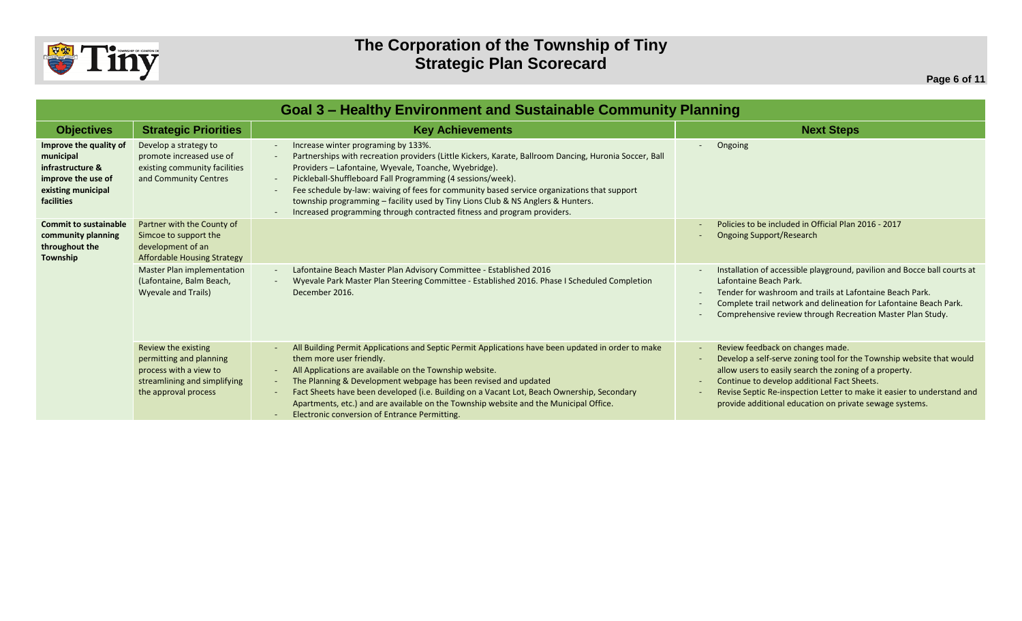

|                                                                                                                   | Goal 3 - Healthy Environment and Sustainable Community Planning                                                                  |                                                                                                                                                                                                                                                                                                                                                                                                                                                                                                                                    |                                                                                                                                                                                                                                                                                                                                                        |  |
|-------------------------------------------------------------------------------------------------------------------|----------------------------------------------------------------------------------------------------------------------------------|------------------------------------------------------------------------------------------------------------------------------------------------------------------------------------------------------------------------------------------------------------------------------------------------------------------------------------------------------------------------------------------------------------------------------------------------------------------------------------------------------------------------------------|--------------------------------------------------------------------------------------------------------------------------------------------------------------------------------------------------------------------------------------------------------------------------------------------------------------------------------------------------------|--|
| <b>Objectives</b>                                                                                                 | <b>Strategic Priorities</b>                                                                                                      | <b>Key Achievements</b>                                                                                                                                                                                                                                                                                                                                                                                                                                                                                                            | <b>Next Steps</b>                                                                                                                                                                                                                                                                                                                                      |  |
| Improve the quality of<br>municipal<br>infrastructure &<br>improve the use of<br>existing municipal<br>facilities | Develop a strategy to<br>promote increased use of<br>existing community facilities<br>and Community Centres                      | Increase winter programing by 133%.<br>Partnerships with recreation providers (Little Kickers, Karate, Ballroom Dancing, Huronia Soccer, Ball<br>Providers - Lafontaine, Wyevale, Toanche, Wyebridge).<br>Pickleball-Shuffleboard Fall Programming (4 sessions/week).<br>Fee schedule by-law: waiving of fees for community based service organizations that support<br>township programming - facility used by Tiny Lions Club & NS Anglers & Hunters.<br>Increased programming through contracted fitness and program providers. | Ongoing                                                                                                                                                                                                                                                                                                                                                |  |
| <b>Commit to sustainable</b><br>community planning<br>throughout the<br>Township                                  | Partner with the County of<br>Simcoe to support the<br>development of an<br><b>Affordable Housing Strategy</b>                   |                                                                                                                                                                                                                                                                                                                                                                                                                                                                                                                                    | Policies to be included in Official Plan 2016 - 2017<br><b>Ongoing Support/Research</b>                                                                                                                                                                                                                                                                |  |
|                                                                                                                   | <b>Master Plan implementation</b><br>(Lafontaine, Balm Beach,<br><b>Wyevale and Trails)</b>                                      | Lafontaine Beach Master Plan Advisory Committee - Established 2016<br>Wyevale Park Master Plan Steering Committee - Established 2016. Phase I Scheduled Completion<br>December 2016.                                                                                                                                                                                                                                                                                                                                               | Installation of accessible playground, pavilion and Bocce ball courts at<br>Lafontaine Beach Park.<br>Tender for washroom and trails at Lafontaine Beach Park.<br>Complete trail network and delineation for Lafontaine Beach Park.<br>Comprehensive review through Recreation Master Plan Study.                                                      |  |
|                                                                                                                   | Review the existing<br>permitting and planning<br>process with a view to<br>streamlining and simplifying<br>the approval process | All Building Permit Applications and Septic Permit Applications have been updated in order to make<br>them more user friendly.<br>All Applications are available on the Township website.<br>$\sim$<br>The Planning & Development webpage has been revised and updated<br>Fact Sheets have been developed (i.e. Building on a Vacant Lot, Beach Ownership, Secondary<br>Apartments, etc.) and are available on the Township website and the Municipal Office.<br>Electronic conversion of Entrance Permitting.                     | Review feedback on changes made.<br>Develop a self-serve zoning tool for the Township website that would<br>allow users to easily search the zoning of a property.<br>Continue to develop additional Fact Sheets.<br>Revise Septic Re-inspection Letter to make it easier to understand and<br>provide additional education on private sewage systems. |  |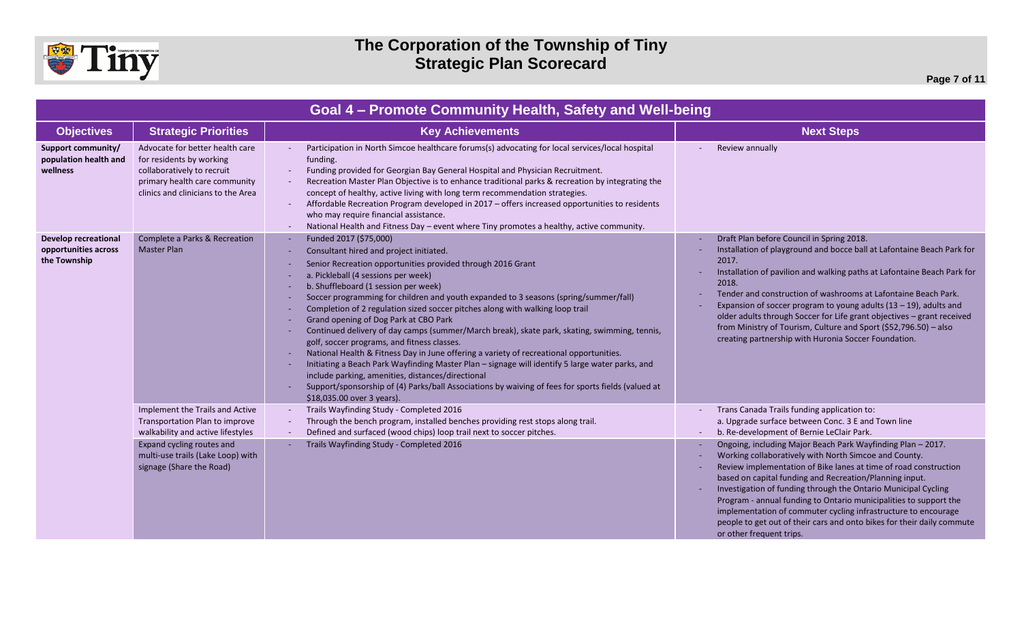

## **The Corporation of the Township of Tiny Strategic Plan Scorecard**

| Goal 4 - Promote Community Health, Safety and Well-being            |                                                                                                                                                                  |                                                                                                                                                                                                                                                                                                                                                                                                                                                                                                                                                                                                                                                                                                                                                                                                                                                                                                                                                                         |                                                                                                                                                                                                                                                                                                                                                                                                                                                                                                                                                                    |
|---------------------------------------------------------------------|------------------------------------------------------------------------------------------------------------------------------------------------------------------|-------------------------------------------------------------------------------------------------------------------------------------------------------------------------------------------------------------------------------------------------------------------------------------------------------------------------------------------------------------------------------------------------------------------------------------------------------------------------------------------------------------------------------------------------------------------------------------------------------------------------------------------------------------------------------------------------------------------------------------------------------------------------------------------------------------------------------------------------------------------------------------------------------------------------------------------------------------------------|--------------------------------------------------------------------------------------------------------------------------------------------------------------------------------------------------------------------------------------------------------------------------------------------------------------------------------------------------------------------------------------------------------------------------------------------------------------------------------------------------------------------------------------------------------------------|
| <b>Objectives</b>                                                   | <b>Strategic Priorities</b>                                                                                                                                      | <b>Key Achievements</b>                                                                                                                                                                                                                                                                                                                                                                                                                                                                                                                                                                                                                                                                                                                                                                                                                                                                                                                                                 | <b>Next Steps</b>                                                                                                                                                                                                                                                                                                                                                                                                                                                                                                                                                  |
| Support community/<br>population health and<br>wellness             | Advocate for better health care<br>for residents by working<br>collaboratively to recruit<br>primary health care community<br>clinics and clinicians to the Area | Participation in North Simcoe healthcare forums(s) advocating for local services/local hospital<br>funding.<br>Funding provided for Georgian Bay General Hospital and Physician Recruitment.<br>Recreation Master Plan Objective is to enhance traditional parks & recreation by integrating the<br>concept of healthy, active living with long term recommendation strategies.<br>Affordable Recreation Program developed in 2017 - offers increased opportunities to residents<br>who may require financial assistance.<br>National Health and Fitness Day - event where Tiny promotes a healthy, active community.                                                                                                                                                                                                                                                                                                                                                   | Review annually                                                                                                                                                                                                                                                                                                                                                                                                                                                                                                                                                    |
| <b>Develop recreational</b><br>opportunities across<br>the Township | Complete a Parks & Recreation<br><b>Master Plan</b>                                                                                                              | Funded 2017 (\$75,000)<br>Consultant hired and project initiated.<br>Senior Recreation opportunities provided through 2016 Grant<br>a. Pickleball (4 sessions per week)<br>b. Shuffleboard (1 session per week)<br>Soccer programming for children and youth expanded to 3 seasons (spring/summer/fall)<br>Completion of 2 regulation sized soccer pitches along with walking loop trail<br>Grand opening of Dog Park at CBO Park<br>Continued delivery of day camps (summer/March break), skate park, skating, swimming, tennis,<br>golf, soccer programs, and fitness classes.<br>National Health & Fitness Day in June offering a variety of recreational opportunities.<br>Initiating a Beach Park Wayfinding Master Plan - signage will identify 5 large water parks, and<br>include parking, amenities, distances/directional<br>Support/sponsorship of (4) Parks/ball Associations by waiving of fees for sports fields (valued at<br>\$18,035.00 over 3 years). | Draft Plan before Council in Spring 2018.<br>Installation of playground and bocce ball at Lafontaine Beach Park for<br>2017.<br>Installation of pavilion and walking paths at Lafontaine Beach Park for<br>2018.<br>Tender and construction of washrooms at Lafontaine Beach Park.<br>Expansion of soccer program to young adults $(13 - 19)$ , adults and<br>older adults through Soccer for Life grant objectives - grant received<br>from Ministry of Tourism, Culture and Sport (\$52,796.50) - also<br>creating partnership with Huronia Soccer Foundation.   |
|                                                                     | Implement the Trails and Active<br>Transportation Plan to improve<br>walkability and active lifestyles                                                           | Trails Wayfinding Study - Completed 2016<br>Through the bench program, installed benches providing rest stops along trail.<br>Defined and surfaced (wood chips) loop trail next to soccer pitches.                                                                                                                                                                                                                                                                                                                                                                                                                                                                                                                                                                                                                                                                                                                                                                      | Trans Canada Trails funding application to:<br>a. Upgrade surface between Conc. 3 E and Town line<br>b. Re-development of Bernie LeClair Park.                                                                                                                                                                                                                                                                                                                                                                                                                     |
|                                                                     | Expand cycling routes and<br>multi-use trails (Lake Loop) with<br>signage (Share the Road)                                                                       | Trails Wayfinding Study - Completed 2016                                                                                                                                                                                                                                                                                                                                                                                                                                                                                                                                                                                                                                                                                                                                                                                                                                                                                                                                | Ongoing, including Major Beach Park Wayfinding Plan - 2017.<br>Working collaboratively with North Simcoe and County.<br>Review implementation of Bike lanes at time of road construction<br>based on capital funding and Recreation/Planning input.<br>Investigation of funding through the Ontario Municipal Cycling<br>Program - annual funding to Ontario municipalities to support the<br>implementation of commuter cycling infrastructure to encourage<br>people to get out of their cars and onto bikes for their daily commute<br>or other frequent trips. |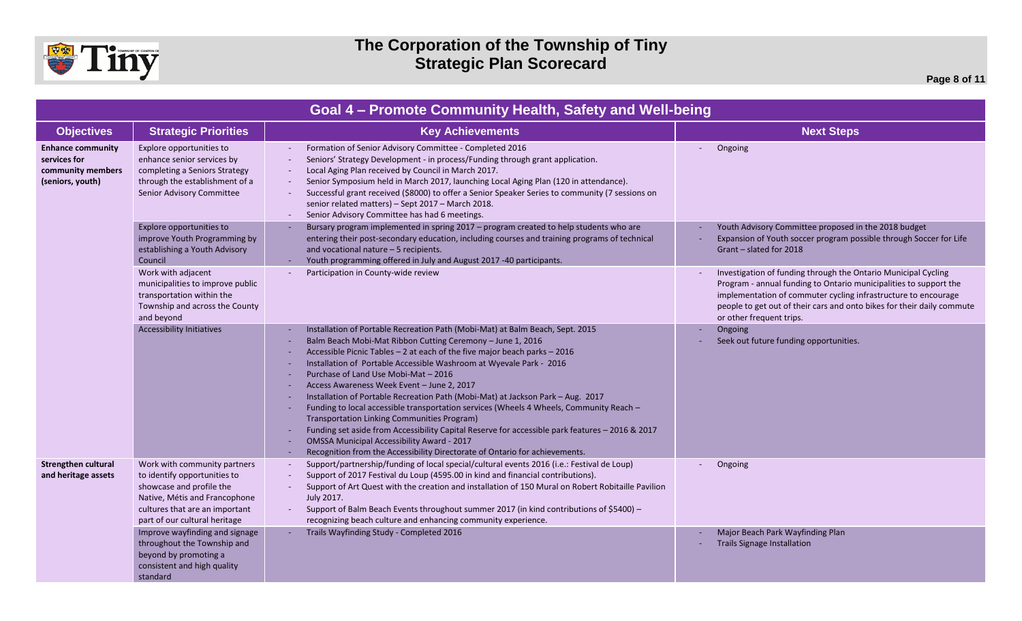

| Goal 4 - Promote Community Health, Safety and Well-being                          |                                                                                                                                                                                              |                                                                                                                                                                                                                                                                                                                                                                                                                                                                                                                                                                                                                                                                                                                                                                                                                                                           |                                                                                                                                                                                                                                                                                                             |
|-----------------------------------------------------------------------------------|----------------------------------------------------------------------------------------------------------------------------------------------------------------------------------------------|-----------------------------------------------------------------------------------------------------------------------------------------------------------------------------------------------------------------------------------------------------------------------------------------------------------------------------------------------------------------------------------------------------------------------------------------------------------------------------------------------------------------------------------------------------------------------------------------------------------------------------------------------------------------------------------------------------------------------------------------------------------------------------------------------------------------------------------------------------------|-------------------------------------------------------------------------------------------------------------------------------------------------------------------------------------------------------------------------------------------------------------------------------------------------------------|
| <b>Objectives</b>                                                                 | <b>Strategic Priorities</b>                                                                                                                                                                  | <b>Key Achievements</b>                                                                                                                                                                                                                                                                                                                                                                                                                                                                                                                                                                                                                                                                                                                                                                                                                                   | <b>Next Steps</b>                                                                                                                                                                                                                                                                                           |
| <b>Enhance community</b><br>services for<br>community members<br>(seniors, youth) | Explore opportunities to<br>enhance senior services by<br>completing a Seniors Strategy<br>through the establishment of a<br>Senior Advisory Committee                                       | Formation of Senior Advisory Committee - Completed 2016<br>Seniors' Strategy Development - in process/Funding through grant application.<br>Local Aging Plan received by Council in March 2017.<br>Senior Symposium held in March 2017, launching Local Aging Plan (120 in attendance).<br>Successful grant received (\$8000) to offer a Senior Speaker Series to community (7 sessions on<br>senior related matters) - Sept 2017 - March 2018.<br>Senior Advisory Committee has had 6 meetings.                                                                                                                                                                                                                                                                                                                                                          | Ongoing                                                                                                                                                                                                                                                                                                     |
|                                                                                   | Explore opportunities to<br>improve Youth Programming by<br>establishing a Youth Advisory<br>Council                                                                                         | Bursary program implemented in spring 2017 - program created to help students who are<br>entering their post-secondary education, including courses and training programs of technical<br>and vocational nature - 5 recipients.<br>Youth programming offered in July and August 2017 -40 participants.                                                                                                                                                                                                                                                                                                                                                                                                                                                                                                                                                    | Youth Advisory Committee proposed in the 2018 budget<br>Expansion of Youth soccer program possible through Soccer for Life<br>Grant - slated for 2018                                                                                                                                                       |
|                                                                                   | Work with adjacent<br>municipalities to improve public<br>transportation within the<br>Township and across the County<br>and beyond                                                          | Participation in County-wide review                                                                                                                                                                                                                                                                                                                                                                                                                                                                                                                                                                                                                                                                                                                                                                                                                       | Investigation of funding through the Ontario Municipal Cycling<br>Program - annual funding to Ontario municipalities to support the<br>implementation of commuter cycling infrastructure to encourage<br>people to get out of their cars and onto bikes for their daily commute<br>or other frequent trips. |
|                                                                                   | <b>Accessibility Initiatives</b>                                                                                                                                                             | Installation of Portable Recreation Path (Mobi-Mat) at Balm Beach, Sept. 2015<br>Balm Beach Mobi-Mat Ribbon Cutting Ceremony - June 1, 2016<br>Accessible Picnic Tables - 2 at each of the five major beach parks - 2016<br>Installation of Portable Accessible Washroom at Wyevale Park - 2016<br>Purchase of Land Use Mobi-Mat - 2016<br>Access Awareness Week Event - June 2, 2017<br>Installation of Portable Recreation Path (Mobi-Mat) at Jackson Park - Aug. 2017<br>Funding to local accessible transportation services (Wheels 4 Wheels, Community Reach -<br>Transportation Linking Communities Program)<br>Funding set aside from Accessibility Capital Reserve for accessible park features - 2016 & 2017<br><b>OMSSA Municipal Accessibility Award - 2017</b><br>Recognition from the Accessibility Directorate of Ontario for achievements. | Ongoing<br>Seek out future funding opportunities.                                                                                                                                                                                                                                                           |
| <b>Strengthen cultural</b><br>and heritage assets                                 | Work with community partners<br>to identify opportunities to<br>showcase and profile the<br>Native, Métis and Francophone<br>cultures that are an important<br>part of our cultural heritage | Support/partnership/funding of local special/cultural events 2016 (i.e.: Festival de Loup)<br>Support of 2017 Festival du Loup (4595.00 in kind and financial contributions).<br>Support of Art Quest with the creation and installation of 150 Mural on Robert Robitaille Pavilion<br>July 2017.<br>Support of Balm Beach Events throughout summer 2017 (in kind contributions of \$5400) -<br>$\sim$<br>recognizing beach culture and enhancing community experience.                                                                                                                                                                                                                                                                                                                                                                                   | Ongoing                                                                                                                                                                                                                                                                                                     |
|                                                                                   | Improve wayfinding and signage<br>throughout the Township and<br>beyond by promoting a<br>consistent and high quality<br>standard                                                            | Trails Wayfinding Study - Completed 2016                                                                                                                                                                                                                                                                                                                                                                                                                                                                                                                                                                                                                                                                                                                                                                                                                  | Major Beach Park Wayfinding Plan<br><b>Trails Signage Installation</b>                                                                                                                                                                                                                                      |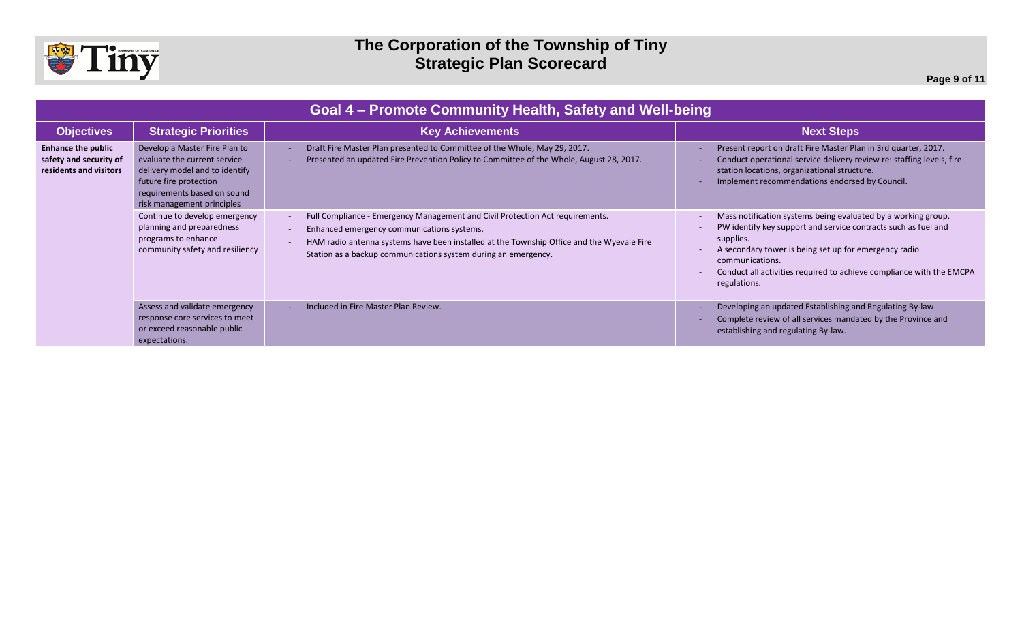

| Goal 4 – Promote Community Health, Safety and Well-being                      |                                                                                                                                                                                        |                                                                                                                                                                                                                                                                                            |                                                                                                                                                                                                                                                                                                                  |
|-------------------------------------------------------------------------------|----------------------------------------------------------------------------------------------------------------------------------------------------------------------------------------|--------------------------------------------------------------------------------------------------------------------------------------------------------------------------------------------------------------------------------------------------------------------------------------------|------------------------------------------------------------------------------------------------------------------------------------------------------------------------------------------------------------------------------------------------------------------------------------------------------------------|
| <b>Objectives</b>                                                             | <b>Strategic Priorities</b>                                                                                                                                                            | <b>Key Achievements</b>                                                                                                                                                                                                                                                                    | <b>Next Steps</b>                                                                                                                                                                                                                                                                                                |
| <b>Enhance the public</b><br>safety and security of<br>residents and visitors | Develop a Master Fire Plan to<br>evaluate the current service<br>delivery model and to identify<br>future fire protection<br>requirements based on sound<br>risk management principles | Draft Fire Master Plan presented to Committee of the Whole, May 29, 2017.<br>Presented an updated Fire Prevention Policy to Committee of the Whole, August 28, 2017.                                                                                                                       | Present report on draft Fire Master Plan in 3rd quarter, 2017.<br>Conduct operational service delivery review re: staffing levels, fire<br>station locations, organizational structure.<br>Implement recommendations endorsed by Council.                                                                        |
|                                                                               | Continue to develop emergency<br>planning and preparedness<br>programs to enhance<br>community safety and resiliency                                                                   | Full Compliance - Emergency Management and Civil Protection Act requirements.<br>Enhanced emergency communications systems.<br>HAM radio antenna systems have been installed at the Township Office and the Wyevale Fire<br>Station as a backup communications system during an emergency. | Mass notification systems being evaluated by a working group.<br>PW identify key support and service contracts such as fuel and<br>supplies.<br>A secondary tower is being set up for emergency radio<br>communications.<br>Conduct all activities required to achieve compliance with the EMCPA<br>regulations. |
|                                                                               | Assess and validate emergency<br>response core services to meet<br>or exceed reasonable public<br>expectations.                                                                        | Included in Fire Master Plan Review.                                                                                                                                                                                                                                                       | Developing an updated Establishing and Regulating By-law<br>Complete review of all services mandated by the Province and<br>establishing and regulating By-law.                                                                                                                                                  |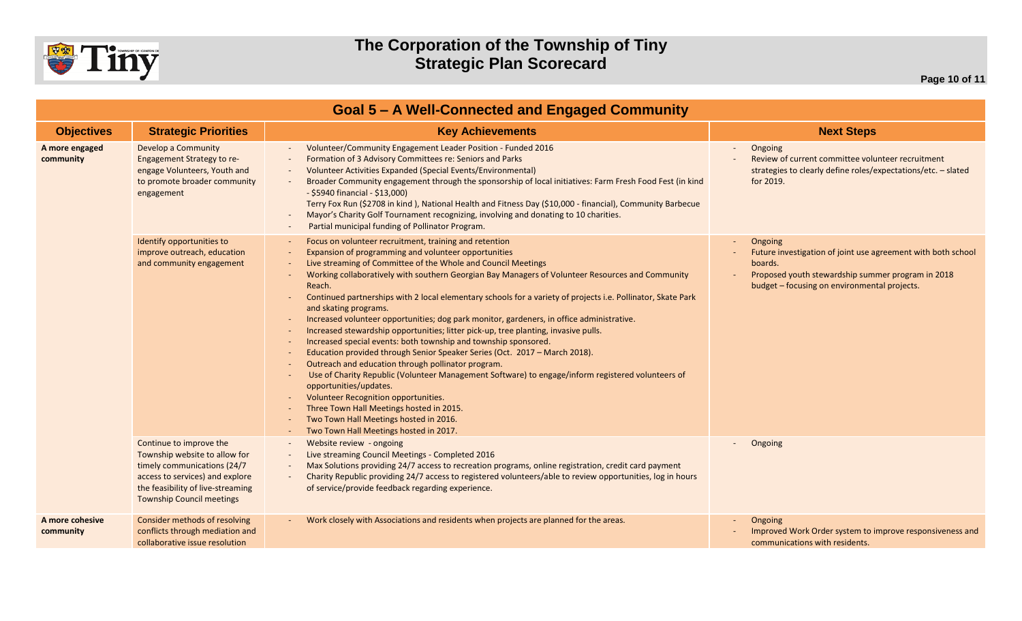

| <b>Goal 5 - A Well-Connected and Engaged Community</b> |                                                                                                                                                                                                     |                                                                                                                                                                                                                                                                                                                                                                                                                                                                                                                                                                                                                                                                                                                                                                                                                                                                                                                                                                                                                                                                                                                                          |                                                                                                                                                                                         |
|--------------------------------------------------------|-----------------------------------------------------------------------------------------------------------------------------------------------------------------------------------------------------|------------------------------------------------------------------------------------------------------------------------------------------------------------------------------------------------------------------------------------------------------------------------------------------------------------------------------------------------------------------------------------------------------------------------------------------------------------------------------------------------------------------------------------------------------------------------------------------------------------------------------------------------------------------------------------------------------------------------------------------------------------------------------------------------------------------------------------------------------------------------------------------------------------------------------------------------------------------------------------------------------------------------------------------------------------------------------------------------------------------------------------------|-----------------------------------------------------------------------------------------------------------------------------------------------------------------------------------------|
| <b>Objectives</b>                                      | <b>Strategic Priorities</b>                                                                                                                                                                         | <b>Key Achievements</b>                                                                                                                                                                                                                                                                                                                                                                                                                                                                                                                                                                                                                                                                                                                                                                                                                                                                                                                                                                                                                                                                                                                  | <b>Next Steps</b>                                                                                                                                                                       |
| A more engaged<br>community                            | Develop a Community<br><b>Engagement Strategy to re-</b><br>engage Volunteers, Youth and<br>to promote broader community<br>engagement                                                              | Volunteer/Community Engagement Leader Position - Funded 2016<br>Formation of 3 Advisory Committees re: Seniors and Parks<br>Volunteer Activities Expanded (Special Events/Environmental)<br>Broader Community engagement through the sponsorship of local initiatives: Farm Fresh Food Fest (in kind<br>- \$5940 financial - \$13,000)<br>Terry Fox Run (\$2708 in kind), National Health and Fitness Day (\$10,000 - financial), Community Barbecue<br>Mayor's Charity Golf Tournament recognizing, involving and donating to 10 charities.<br>Partial municipal funding of Pollinator Program.                                                                                                                                                                                                                                                                                                                                                                                                                                                                                                                                         | Ongoing<br>Review of current committee volunteer recruitment<br>strategies to clearly define roles/expectations/etc. - slated<br>for 2019.                                              |
|                                                        | Identify opportunities to<br>improve outreach, education<br>and community engagement                                                                                                                | Focus on volunteer recruitment, training and retention<br>Expansion of programming and volunteer opportunities<br>Live streaming of Committee of the Whole and Council Meetings<br>Working collaboratively with southern Georgian Bay Managers of Volunteer Resources and Community<br>Reach.<br>Continued partnerships with 2 local elementary schools for a variety of projects i.e. Pollinator, Skate Park<br>and skating programs.<br>Increased volunteer opportunities; dog park monitor, gardeners, in office administrative.<br>Increased stewardship opportunities; litter pick-up, tree planting, invasive pulls.<br>Increased special events: both township and township sponsored.<br>Education provided through Senior Speaker Series (Oct. 2017 - March 2018).<br>Outreach and education through pollinator program.<br>Use of Charity Republic (Volunteer Management Software) to engage/inform registered volunteers of<br>opportunities/updates.<br>Volunteer Recognition opportunities.<br>Three Town Hall Meetings hosted in 2015.<br>Two Town Hall Meetings hosted in 2016.<br>Two Town Hall Meetings hosted in 2017. | Ongoing<br>Future investigation of joint use agreement with both school<br>boards.<br>Proposed youth stewardship summer program in 2018<br>budget - focusing on environmental projects. |
|                                                        | Continue to improve the<br>Township website to allow for<br>timely communications (24/7<br>access to services) and explore<br>the feasibility of live-streaming<br><b>Township Council meetings</b> | Website review - ongoing<br>Live streaming Council Meetings - Completed 2016<br>Max Solutions providing 24/7 access to recreation programs, online registration, credit card payment<br>Charity Republic providing 24/7 access to registered volunteers/able to review opportunities, log in hours<br>of service/provide feedback regarding experience.                                                                                                                                                                                                                                                                                                                                                                                                                                                                                                                                                                                                                                                                                                                                                                                  | Ongoing                                                                                                                                                                                 |
| A more cohesive<br>community                           | Consider methods of resolving<br>conflicts through mediation and<br>collaborative issue resolution                                                                                                  | Work closely with Associations and residents when projects are planned for the areas.                                                                                                                                                                                                                                                                                                                                                                                                                                                                                                                                                                                                                                                                                                                                                                                                                                                                                                                                                                                                                                                    | Ongoing<br>Improved Work Order system to improve responsiveness and<br>communications with residents.                                                                                   |